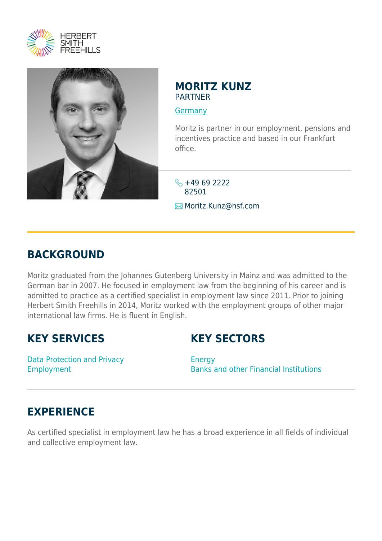



### **MORITZ KUNZ** PARTNER

#### **[Germany](https://www.herbertsmithfreehills.com/where-we-work/germany)**

Moritz is partner in our employment, pensions and incentives practice and based in our Frankfurt office.

 $\leftarrow$  +49 69 2222 82501 **E**Moritz.Kunz@hsf.com

## **BACKGROUND**

Moritz graduated from the Johannes Gutenberg University in Mainz and was admitted to the German bar in 2007. He focused in employment law from the beginning of his career and is admitted to practice as a certified specialist in employment law since 2011. Prior to joining Herbert Smith Freehills in 2014, Moritz worked with the employment groups of other major international law firms. He is fluent in English.

## **KEY SERVICES**

# **KEY SECTORS**

Data Protection and Privacy Employment

Energy Banks and other Financial Institutions

# **EXPERIENCE**

As certified specialist in employment law he has a broad experience in all fields of individual and collective employment law.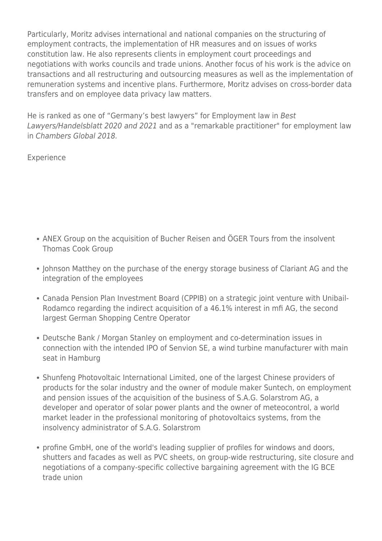Particularly, Moritz advises international and national companies on the structuring of employment contracts, the implementation of HR measures and on issues of works constitution law. He also represents clients in employment court proceedings and negotiations with works councils and trade unions. Another focus of his work is the advice on transactions and all restructuring and outsourcing measures as well as the implementation of remuneration systems and incentive plans. Furthermore, Moritz advises on cross-border data transfers and on employee data privacy law matters.

He is ranked as one of "Germany's best lawyers" for Employment law in Best Lawyers/Handelsblatt 2020 and 2021 and as a "remarkable practitioner" for employment law in Chambers Global 2018.

#### Experience

- ANEX Group on the acquisition of Bucher Reisen and ÖGER Tours from the insolvent Thomas Cook Group
- Johnson Matthey on the purchase of the energy storage business of Clariant AG and the integration of the employees
- Canada Pension Plan Investment Board (CPPIB) on a strategic joint venture with Unibail-Rodamco regarding the indirect acquisition of a 46.1% interest in mfi AG, the second largest German Shopping Centre Operator
- Deutsche Bank / Morgan Stanley on employment and co-determination issues in connection with the intended IPO of Senvion SE, a wind turbine manufacturer with main seat in Hamburg
- Shunfeng Photovoltaic International Limited, one of the largest Chinese providers of products for the solar industry and the owner of module maker Suntech, on employment and pension issues of the acquisition of the business of S.A.G. Solarstrom AG, a developer and operator of solar power plants and the owner of meteocontrol, a world market leader in the professional monitoring of photovoltaics systems, from the insolvency administrator of S.A.G. Solarstrom
- profine GmbH, one of the world's leading supplier of profiles for windows and doors, shutters and facades as well as PVC sheets, on group-wide restructuring, site closure and negotiations of a company-specific collective bargaining agreement with the IG BCE trade union